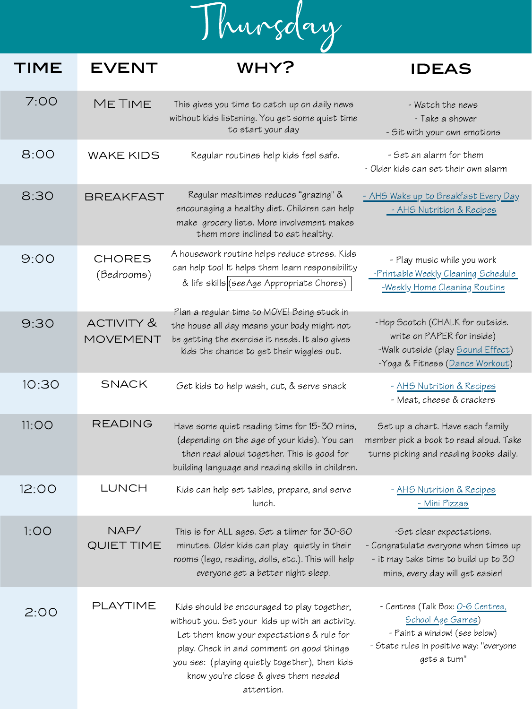Thursday

## TIME EVENT WHY?

| 7:00 | <b>METIME</b>               | This gives you time to catch up on daily news<br>without kids listening. You get some quiet time<br>to start your day                                                                      | - Watch the news<br>- Take a shower<br>- Sit with your own emotions                                                                   |
|------|-----------------------------|--------------------------------------------------------------------------------------------------------------------------------------------------------------------------------------------|---------------------------------------------------------------------------------------------------------------------------------------|
| 8:00 | <b>WAKE KIDS</b>            | Regular routines help kids feel safe.                                                                                                                                                      | - Set an alarm for them<br>- Older kids can set their own alarm                                                                       |
| 8:30 | <b>BREAKFAST</b>            | Regular mealtimes reduces "grazing" &<br>encouraging a healthy diet. Children can help<br>make grocery lists. More involvement makes<br>them more inclined to eat healthy.                 | - AHS Wake up to Breakfast Every Day<br>- AHS Nutrition & Recipes                                                                     |
| 9:00 | <b>CHORES</b><br>(Bedrooms) | A housework routine helps reduce stress. Kids<br>can help too! It helps them learn responsibility<br>& life skills (see Age Appropriate Chores)                                            | - Play music while you work<br>-Printable Weekly Cleaning Schedule<br>-Weekly Home Cleaning Routine                                   |
| 9:30 | ACTIVITY &<br>MOVEMENT      | Plan a regular time to MOVE! Being stuck in<br>the house all day means your body might not<br>be getting the exercise it needs. It also gives<br>kids the chance to get their wiggles out. | -Hop Scotch (CHALK for outside.<br>write on PAPER for inside)<br>-Walk outside (play Sound Effect)<br>-Yoga & Fitness (Dance Workout) |

| 10:30 | <b>SNACK</b>       | Get kids to help wash, cut, & serve snack                                                                                                                                                                                                                                                          | - AHS Nutrition & Recipes<br>- Meat, cheese & crackers                                                                                                     |
|-------|--------------------|----------------------------------------------------------------------------------------------------------------------------------------------------------------------------------------------------------------------------------------------------------------------------------------------------|------------------------------------------------------------------------------------------------------------------------------------------------------------|
| 11:OO | <b>READING</b>     | Have some quiet reading time for 15-30 mins,<br>(depending on the age of your kids). You can<br>then read aloud together. This is good for<br>building language and reading skills in children.                                                                                                    | Set up a chart. Have each family<br>member pick a book to read aloud. Take<br>turns picking and reading books daily.                                       |
| 12:00 | LUNCH              | Kids can help set tables, prepare, and serve<br>lunch.                                                                                                                                                                                                                                             | - AHS Nutrition & Recipes<br>- Mini Pizzas                                                                                                                 |
| 1:OO  | NAP/<br>QUIET TIME | This is for ALL ages. Set a tiimer for 30-60<br>minutes. Older kids can play quietly in their<br>rooms (lego, reading, dolls, etc.). This will help<br>everyone get a better night sleep.                                                                                                          | -Set clear expectations.<br>- Congratulate everyone when times up<br>- it may take time to build up to 30<br>mins, every day will get easier!              |
| 2:00  | PLAYTIME           | Kids should be encouraged to play together,<br>without you. Set your kids up with an activity.<br>Let them know your expectations & rule for<br>play. Check in and comment on good things<br>you see: (playing quietly together), then kids<br>know you're close & gives them needed<br>attention. | - Centres (Talk Box: <u>O-6 Centres,</u><br>School Age Games)<br>- Paint a window! (see below)<br>- State rules in positive way: "everyone<br>gets a turn" |

## ideas